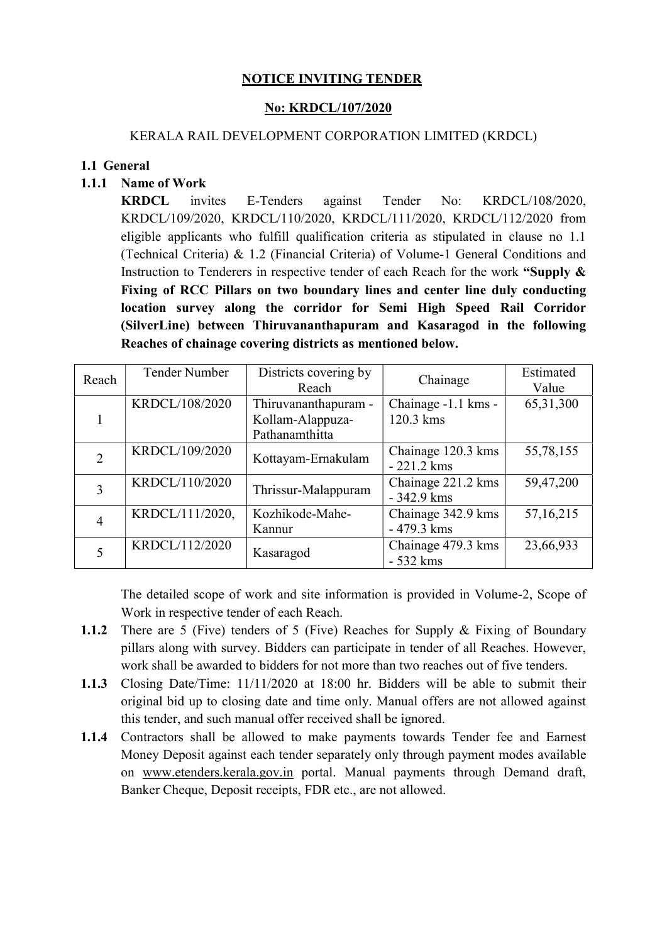# NOTICE INVITING TENDER

## No: KRDCL/107/2020

### KERALA RAIL DEVELOPMENT CORPORATION LIMITED (KRDCL)

#### 1.1 General

## 1.1.1 Name of Work

KRDCL invites E-Tenders against Tender No: KRDCL/108/2020, KRDCL/109/2020, KRDCL/110/2020, KRDCL/111/2020, KRDCL/112/2020 from eligible applicants who fulfill qualification criteria as stipulated in clause no 1.1 (Technical Criteria) & 1.2 (Financial Criteria) of Volume-1 General Conditions and Instruction to Tenderers in respective tender of each Reach for the work "Supply & Fixing of RCC Pillars on two boundary lines and center line duly conducting location survey along the corridor for Semi High Speed Rail Corridor (SilverLine) between Thiruvananthapuram and Kasaragod in the following Reaches of chainage covering districts as mentioned below.

| Reach          | Tender Number   | Districts covering by<br>Reach                             | Chainage                           | Estimated<br>Value |
|----------------|-----------------|------------------------------------------------------------|------------------------------------|--------------------|
|                | KRDCL/108/2020  | Thiruvananthapuram -<br>Kollam-Alappuza-<br>Pathanamthitta | Chainage -1.1 kms -<br>120.3 kms   | 65, 31, 300        |
| 2              | KRDCL/109/2020  | Kottayam-Ernakulam                                         | Chainage 120.3 kms<br>$-221.2$ kms | 55,78,155          |
| 3              | KRDCL/110/2020  | Thrissur-Malappuram                                        | Chainage 221.2 kms<br>$-342.9$ kms | 59,47,200          |
| $\overline{4}$ | KRDCL/111/2020, | Kozhikode-Mahe-<br>Kannur                                  | Chainage 342.9 kms<br>- 479.3 kms  | 57, 16, 215        |
|                | KRDCL/112/2020  | Kasaragod                                                  | Chainage 479.3 kms<br>$-532$ kms   | 23,66,933          |

The detailed scope of work and site information is provided in Volume-2, Scope of Work in respective tender of each Reach.

- 1.1.2 There are 5 (Five) tenders of 5 (Five) Reaches for Supply & Fixing of Boundary pillars along with survey. Bidders can participate in tender of all Reaches. However, work shall be awarded to bidders for not more than two reaches out of five tenders.
- 1.1.3 Closing Date/Time: 11/11/2020 at 18:00 hr. Bidders will be able to submit their original bid up to closing date and time only. Manual offers are not allowed against this tender, and such manual offer received shall be ignored.
- 1.1.4 Contractors shall be allowed to make payments towards Tender fee and Earnest Money Deposit against each tender separately only through payment modes available on www.etenders.kerala.gov.in portal. Manual payments through Demand draft, Banker Cheque, Deposit receipts, FDR etc., are not allowed.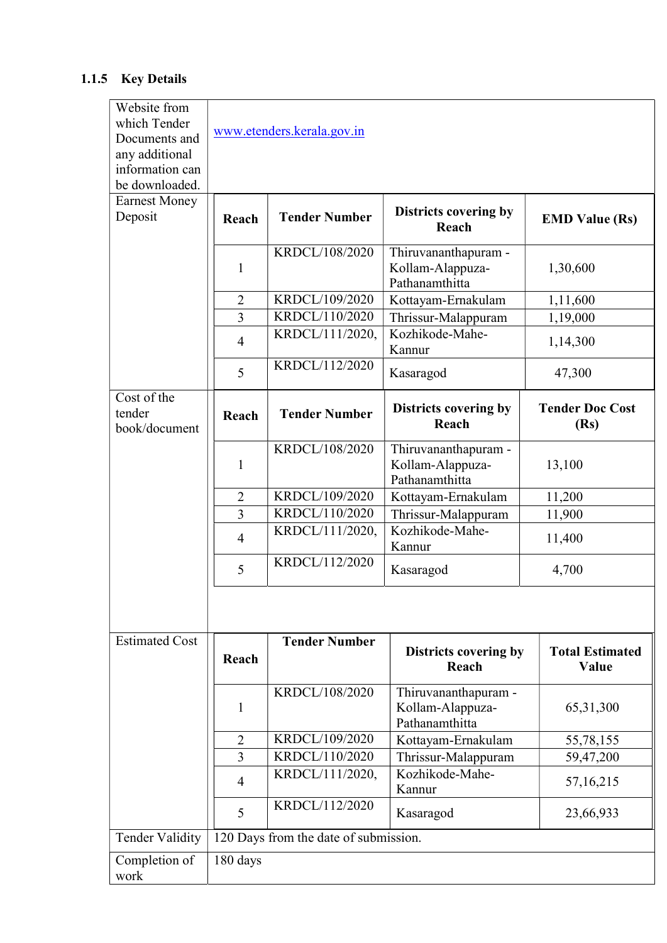# 1.1.5 Key Details

| Website from<br>which Tender           |                                       |                      |                                                            |                                |  |  |  |
|----------------------------------------|---------------------------------------|----------------------|------------------------------------------------------------|--------------------------------|--|--|--|
| Documents and                          | www.etenders.kerala.gov.in            |                      |                                                            |                                |  |  |  |
| any additional                         |                                       |                      |                                                            |                                |  |  |  |
| information can                        |                                       |                      |                                                            |                                |  |  |  |
| be downloaded.                         |                                       |                      |                                                            |                                |  |  |  |
| <b>Earnest Money</b><br>Deposit        | Reach                                 | <b>Tender Number</b> | Districts covering by                                      | <b>EMD Value (Rs)</b>          |  |  |  |
|                                        |                                       |                      | Reach                                                      |                                |  |  |  |
|                                        |                                       | KRDCL/108/2020       | Thiruvananthapuram -                                       |                                |  |  |  |
|                                        | 1                                     |                      | Kollam-Alappuza-                                           | 1,30,600                       |  |  |  |
|                                        |                                       |                      | Pathanamthitta                                             |                                |  |  |  |
|                                        | $\overline{2}$                        | KRDCL/109/2020       | Kottayam-Ernakulam                                         | 1,11,600                       |  |  |  |
|                                        | $\overline{3}$                        | KRDCL/110/2020       | Thrissur-Malappuram                                        | 1,19,000                       |  |  |  |
|                                        | $\overline{4}$                        | KRDCL/111/2020,      | Kozhikode-Mahe-<br>Kannur                                  | 1,14,300                       |  |  |  |
|                                        | 5                                     | KRDCL/112/2020       | Kasaragod                                                  | 47,300                         |  |  |  |
| Cost of the<br>tender<br>book/document | Reach                                 | <b>Tender Number</b> | Districts covering by<br>Reach                             | <b>Tender Doc Cost</b><br>(Rs) |  |  |  |
|                                        | 1                                     | KRDCL/108/2020       | Thiruvananthapuram -<br>Kollam-Alappuza-<br>Pathanamthitta | 13,100                         |  |  |  |
|                                        | $\overline{2}$                        | KRDCL/109/2020       | Kottayam-Ernakulam                                         | 11,200                         |  |  |  |
|                                        | 3                                     | KRDCL/110/2020       | Thrissur-Malappuram                                        | 11,900                         |  |  |  |
|                                        | $\overline{4}$                        | KRDCL/111/2020,      | Kozhikode-Mahe-<br>Kannur                                  | 11,400                         |  |  |  |
|                                        | 5                                     | KRDCL/112/2020       | Kasaragod                                                  | 4,700                          |  |  |  |
| <b>Estimated Cost</b>                  | Reach                                 | <b>Tender Number</b> | Districts covering by                                      | <b>Total Estimated</b>         |  |  |  |
|                                        |                                       |                      | Reach                                                      | Value                          |  |  |  |
|                                        | 1                                     | KRDCL/108/2020       | Thiruvananthapuram -<br>Kollam-Alappuza-<br>Pathanamthitta | 65, 31, 300                    |  |  |  |
| $\overline{2}$                         |                                       | KRDCL/109/2020       | Kottayam-Ernakulam                                         | 55,78,155                      |  |  |  |
|                                        | 3                                     | KRDCL/110/2020       | Thrissur-Malappuram                                        | 59,47,200                      |  |  |  |
|                                        | $\overline{4}$                        | KRDCL/111/2020,      | Kozhikode-Mahe-<br>Kannur                                  | 57,16,215                      |  |  |  |
|                                        | 5                                     | KRDCL/112/2020       | Kasaragod                                                  | 23,66,933                      |  |  |  |
| <b>Tender Validity</b>                 | 120 Days from the date of submission. |                      |                                                            |                                |  |  |  |
| Completion of<br>work                  | 180 days                              |                      |                                                            |                                |  |  |  |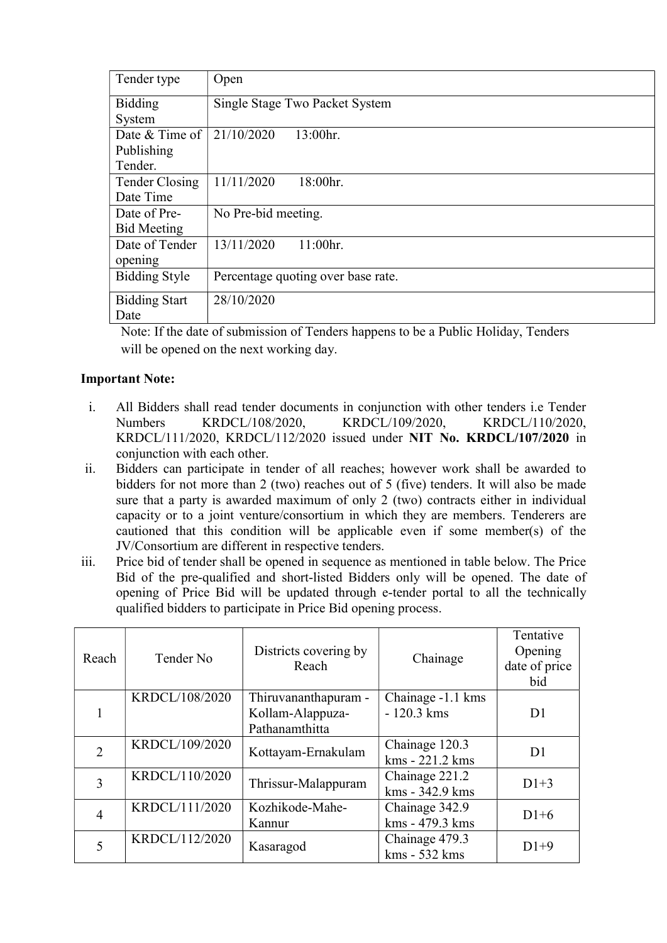| Tender type          | Open                               |  |  |
|----------------------|------------------------------------|--|--|
| <b>Bidding</b>       | Single Stage Two Packet System     |  |  |
| System               |                                    |  |  |
| Date & Time of       | 21/10/2020<br>13:00hr.             |  |  |
| Publishing           |                                    |  |  |
| Tender.              |                                    |  |  |
| Tender Closing       | 11/11/2020<br>18:00hr.             |  |  |
| Date Time            |                                    |  |  |
| Date of Pre-         | No Pre-bid meeting.                |  |  |
| <b>Bid Meeting</b>   |                                    |  |  |
| Date of Tender       | 13/11/2020<br>11:00hr.             |  |  |
| opening              |                                    |  |  |
| <b>Bidding Style</b> | Percentage quoting over base rate. |  |  |
| <b>Bidding Start</b> | 28/10/2020                         |  |  |
| Date                 |                                    |  |  |

Note: If the date of submission of Tenders happens to be a Public Holiday, Tenders will be opened on the next working day.

## Important Note:

- i. All Bidders shall read tender documents in conjunction with other tenders i.e Tender Numbers KRDCL/108/2020, KRDCL/109/2020, KRDCL/110/2020, KRDCL/111/2020, KRDCL/112/2020 issued under NIT No. KRDCL/107/2020 in conjunction with each other.
- ii. Bidders can participate in tender of all reaches; however work shall be awarded to bidders for not more than 2 (two) reaches out of 5 (five) tenders. It will also be made sure that a party is awarded maximum of only 2 (two) contracts either in individual capacity or to a joint venture/consortium in which they are members. Tenderers are cautioned that this condition will be applicable even if some member(s) of the JV/Consortium are different in respective tenders.
- iii. Price bid of tender shall be opened in sequence as mentioned in table below. The Price Bid of the pre-qualified and short-listed Bidders only will be opened. The date of opening of Price Bid will be updated through e-tender portal to all the technically qualified bidders to participate in Price Bid opening process.

| Reach          | Tender No      | Districts covering by<br>Reach           | Chainage                          | Tentative<br>Opening<br>date of price<br>bid |
|----------------|----------------|------------------------------------------|-----------------------------------|----------------------------------------------|
|                | KRDCL/108/2020 | Thiruvananthapuram -<br>Kollam-Alappuza- | Chainage -1.1 kms<br>$-120.3$ kms | D <sub>1</sub>                               |
|                |                | Pathanamthitta                           |                                   |                                              |
| $\overline{2}$ | KRDCL/109/2020 | Kottayam-Ernakulam                       | Chainage 120.3<br>kms - 221.2 kms | D <sub>1</sub>                               |
| 3              | KRDCL/110/2020 | Thrissur-Malappuram                      | Chainage 221.2<br>kms - 342.9 kms | $D1+3$                                       |
| 4              | KRDCL/111/2020 | Kozhikode-Mahe-<br>Kannur                | Chainage 342.9<br>kms - 479.3 kms | $D1+6$                                       |
|                | KRDCL/112/2020 | Kasaragod                                | Chainage 479.3<br>kms - 532 kms   | $D1+9$                                       |